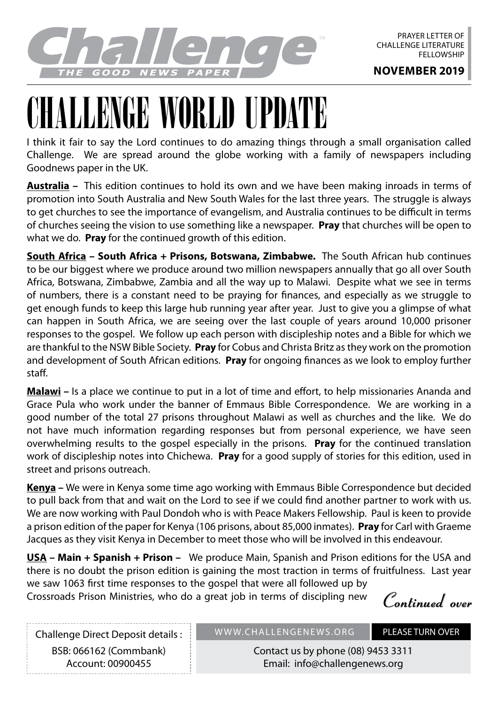

## LENGE WORLD UPD

I think it fair to say the Lord continues to do amazing things through a small organisation called Challenge. We are spread around the globe working with a family of newspapers including Goodnews paper in the UK.

**Australia –** This edition continues to hold its own and we have been making inroads in terms of promotion into South Australia and New South Wales for the last three years. The struggle is always to get churches to see the importance of evangelism, and Australia continues to be difficult in terms of churches seeing the vision to use something like a newspaper. **Pray** that churches will be open to what we do. **Pray** for the continued growth of this edition.

**South Africa – South Africa + Prisons, Botswana, Zimbabwe.** The South African hub continues to be our biggest where we produce around two million newspapers annually that go all over South Africa, Botswana, Zimbabwe, Zambia and all the way up to Malawi. Despite what we see in terms of numbers, there is a constant need to be praying for finances, and especially as we struggle to get enough funds to keep this large hub running year after year. Just to give you a glimpse of what can happen in South Africa, we are seeing over the last couple of years around 10,000 prisoner responses to the gospel. We follow up each person with discipleship notes and a Bible for which we are thankful to the NSW Bible Society. **Pray** for Cobus and Christa Britz as they work on the promotion and development of South African editions. **Pray** for ongoing finances as we look to employ further staff.

**Malawi –** Is a place we continue to put in a lot of time and effort, to help missionaries Ananda and Grace Pula who work under the banner of Emmaus Bible Correspondence. We are working in a good number of the total 27 prisons throughout Malawi as well as churches and the like. We do not have much information regarding responses but from personal experience, we have seen overwhelming results to the gospel especially in the prisons. **Pray** for the continued translation work of discipleship notes into Chichewa. **Pray** for a good supply of stories for this edition, used in street and prisons outreach.

**Kenya –** We were in Kenya some time ago working with Emmaus Bible Correspondence but decided to pull back from that and wait on the Lord to see if we could find another partner to work with us. We are now working with Paul Dondoh who is with Peace Makers Fellowship. Paul is keen to provide a prison edition of the paper for Kenya (106 prisons, about 85,000 inmates). **Pray** for Carl with Graeme Jacques as they visit Kenya in December to meet those who will be involved in this endeavour.

**USA – Main + Spanish + Prison –** We produce Main, Spanish and Prison editions for the USA and there is no doubt the prison edition is gaining the most traction in terms of fruitfulness. Last year we saw 1063 first time responses to the gospel that were all followed up by

Crossroads Prison Ministries, who do a great job in terms of discipling new

**Continued over**

Challenge Direct Deposit details : BSB: 066162 (Commbank) Account: 00900455

WWW.CHALLENGENEWS.ORG PLEASE TURN OVER

Contact us by phone (08) 9453 3311 Email: info@challengenews.org